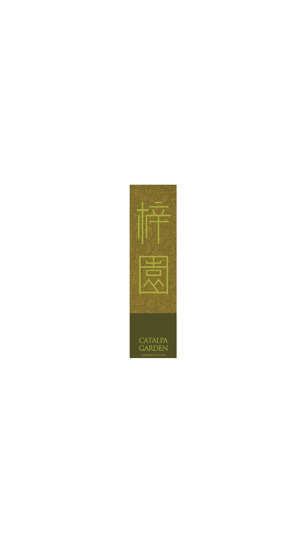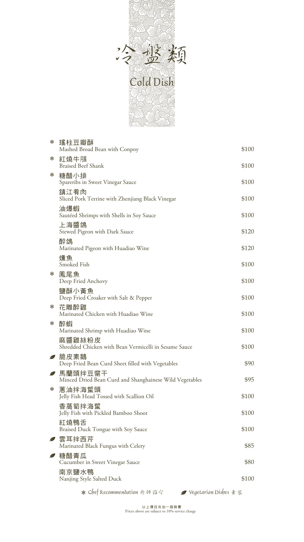

| $\ast$          | 瑤柱豆瓣酥<br>Mashed Broad Bean with Conpoy                                    | \$100 |
|-----------------|---------------------------------------------------------------------------|-------|
| $\ast$          | 紅燒牛腸<br><b>Braised Beef Shank</b>                                         | \$100 |
| ∗               | 糖醋小排<br>Spareribs in Sweet Vinegar Sauce                                  | \$100 |
|                 | 鎮江肴肉<br>Sliced Pork Terrine with Zhenjiang Black Vinegar                  | \$100 |
|                 | 油爆蝦<br>Sautéed Shrimps with Shells in Soy Sauce                           | \$100 |
|                 | 上海醬鴿<br>Stewed Pigeon with Dark Sauce                                     | \$120 |
|                 | 醉鴿<br>Marinated Pigeon with Huadiao Wine                                  | \$120 |
|                 | 燻魚<br>Smoked Fish                                                         | \$100 |
| $\ast$          | 鳯尾魚<br>Deep Fried Anchovy                                                 | \$100 |
|                 | 鹽酥小黃魚<br>Deep Fried Croaker with Salt & Pepper                            | \$100 |
| $\ast$          | 花雕醉雞<br>Marinated Chicken with Huadiao Wine                               | \$100 |
| $\ast$          | 醉蝦<br>Marinated Shrimp with Huadiao Wine                                  | \$100 |
|                 | 麻醬雞絲粉皮<br>Shredded Chicken with Bean Vermicelli in Sesame Sauce           | \$100 |
|                 | <i><i>●</i> 脆皮素鵝</i><br>Deep Fried Bean Curd Sheet filled with Vegetables | \$90  |
| B               | 馬蘭頭拌豆腐干<br>Minced Dried Bean Curd and Shanghainese Wild Vegetables        | \$95  |
| $\ast$          | 蔥油拌海蜇頭<br>Jelly Fish Head Tossed with Scallion Oil                        | \$100 |
|                 | 香萵筍拌海蜇<br>Jelly Fish with Pickled Bamboo Shoot                            | \$100 |
|                 | 紅燒鴨舌<br>Braised Duck Tongue with Soy Sauce                                | \$100 |
| <b>SER</b>      | 雲耳拌西芹<br>Marinated Black Fungus with Celery                               | \$85  |
| P <sup>ER</sup> | 糖醋青瓜<br>Cucumber in Sweet Vinegar Sauce                                   | \$80  |
|                 | 南京鹽水鴨<br>Nanjing Style Salted Duck                                        | \$100 |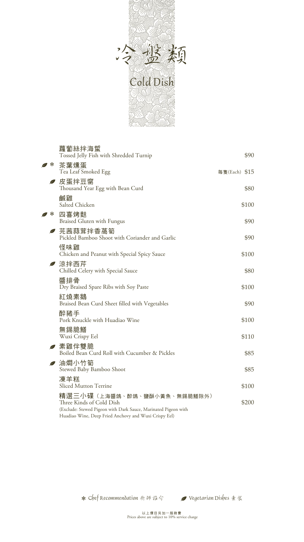

|           | 蘿蔔絲拌海蜇<br>Tossed Jelly Fish with Shredded Turnip                                                                                                                                   |               | \$90  |
|-----------|------------------------------------------------------------------------------------------------------------------------------------------------------------------------------------|---------------|-------|
| r ≫       | 茶葉燻蛋<br>Tea Leaf Smoked Egg                                                                                                                                                        | 每隻(Each) \$15 |       |
|           | <i>●</i> 皮蛋拌豆腐<br>Thousand Year Egg with Bean Curd                                                                                                                                 |               | \$80  |
|           | 鹹雞<br>Salted Chicken                                                                                                                                                               |               | \$100 |
| ∗         | 四喜烤麩<br><b>Braised Gluten with Fungus</b>                                                                                                                                          |               | \$90  |
| Ł         | 芫茜蒜茸拌香萵筍<br>Pickled Bamboo Shoot with Coriander and Garlic                                                                                                                         |               | \$90  |
|           | 怪味雞<br>Chicken and Peanut with Special Spicy Sauce                                                                                                                                 |               | \$100 |
| Ł         | 涼拌西芹<br>Chilled Celery with Special Sauce                                                                                                                                          |               | \$80  |
|           | 醬排骨<br>Dry Braised Spare Ribs with Soy Paste                                                                                                                                       |               | \$100 |
|           | 紅燒素鵝<br>Braised Bean Curd Sheet filled with Vegetables                                                                                                                             |               | \$90  |
|           | 醉豬手<br>Pork Knuckle with Huadiao Wine                                                                                                                                              |               | \$100 |
|           | 無錫脆鱔<br>Wuxi Crispy Eel                                                                                                                                                            |               | \$110 |
| <b>RE</b> | 素雞伴雙脆<br>Boiled Bean Curd Roll with Cucumber & Pickles                                                                                                                             |               | \$85  |
| Ł         | 油燜小竹筍<br>Stewed Baby Bamboo Shoot                                                                                                                                                  |               | \$85  |
|           | 凍羊糕<br><b>Sliced Mutton Terrine</b>                                                                                                                                                |               | \$100 |
|           | 精選三小碟(上海醬鴿、醉鴿、鹽酥小黃魚、無錫脆鱔除外)<br>Three Kinds of Cold Dish<br>(Exclude: Stewed Pigeon with Dark Sauce, Marinated Pigeon with<br>Huadiao Wine, Deep Fried Anchovy and Wuxi Crispy Eel) |               | \$200 |

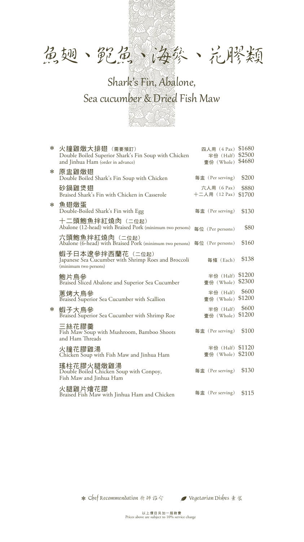名翅、鲍龟、海参、花膠類

## Shark's Fin, Abalone, Sea cucumber & Dried Fish Maw



| ∗      | 火朣雞燉大排翅(需 <sub>要預訂)</sub><br>Double Boiled Superior Shark's Fin Soup with Chicken<br>and Jinhua Ham (order in advance) | 四人用 (4 Pax)<br>半份 (Half)<br>壹份 (Whole) | \$1680<br>\$2500<br>\$4680 |
|--------|------------------------------------------------------------------------------------------------------------------------|----------------------------------------|----------------------------|
| ∗      | 原盅雞燉翅<br>Double Boiled Shark's Fin Soup with Chicken                                                                   | 每盅 (Per serving)                       | \$200                      |
|        | 砂鍋雞煲翅<br>Braised Shark's Fin with Chicken in Casserole                                                                 | 六人用 (6 Pax)<br>$+$ 二人用 (12 Pax)        | \$880<br>\$1700            |
| $\ast$ | 魚翅燉蛋<br>Double-Boiled Shark's Fin with Egg                                                                             | 每盅 (Per serving)                       | \$130                      |
|        | 十二頭鮑魚拌紅燒肉 (二位起)<br>Abalone (12-head) with Braised Pork (minimum two persons)                                           | 每位 (Per persons)                       | \$80                       |
|        | 六頭鮑魚拌紅燒肉(ニ位起)<br>Abalone (6-head) with Braised Pork (minimum two persons) 每位 (Per persons)                             |                                        | \$160                      |
|        | 蝦子日本遼參拌西蘭花 (二位起)<br>Japanese Sea Cucumber with Shrimp Roes and Broccoli<br>(minimum two persons)                       | 每條 (Each)                              | \$138                      |
|        | 鮑片烏參<br>Braised Sliced Abalone and Superior Sea Cucumber                                                               | 半份 (Half)<br>壹份 (Whole)                | \$1200<br>\$2300           |
|        | 蔥烤大烏參<br>Braised Superior Sea Cucumber with Scallion                                                                   | 半份 (Half)<br>壹份 (Whole)                | \$600<br>\$1200            |
| $\ast$ | 蝦子大烏參<br>Braised Superior Sea Cucumber with Shrimp Roe                                                                 | 半份 (Half)<br>壹份 (Whole)                | \$600<br>\$1200            |
|        | 三絲花膠羹<br>Fish Maw Soup with Mushroom, Bamboo Shoots<br>and Ham Threads                                                 | 每盅 (Per serving)                       | \$100                      |
|        | 火朣花膠雞湯<br>Chicken Soup with Fish Maw and Jinhua Ham                                                                    | 半份 (Half)<br>壹份 (Whole)                | \$1120<br>\$2100           |
|        | 瑤柱花膠火腿燉雞湯<br>Double Boiled Chicken Soup with Conpoy,<br>Fish Maw and Jinhua Ham                                        | 每盅 (Per serving)                       | \$130                      |
|        | 火腿雞片燴花膠<br>Braised Fish Maw with Jinhua Ham and Chicken                                                                | 每盅 (Per serving)                       | \$115                      |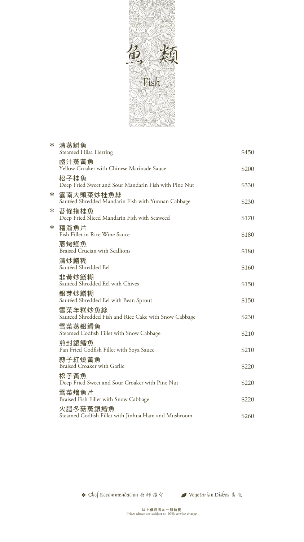

| $\ast$ | 清蒸鰣魚                                                              |       |
|--------|-------------------------------------------------------------------|-------|
|        | <b>Steamed Hilsa Herring</b>                                      | \$450 |
|        | 鹵汁蒸黃魚<br>Yellow Croaker with Chinese Marinade Sauce               | \$200 |
|        | 松子桂魚<br>Deep Fried Sweet and Sour Mandarin Fish with Pine Nut     | \$330 |
|        | * 雲南大頭菜炒桂魚絲<br>Sautéed Shredded Mandarin Fish with Yunnan Cabbage | \$230 |
| ⋇      | 苔條拖桂魚<br>Deep Fried Sliced Mandarin Fish with Seaweed             | \$170 |
| ⋇      | 糟溜魚片<br>Fish Fillet in Rice Wine Sauce                            | \$180 |
|        | 蔥烤鯽魚<br><b>Braised Crucian with Scallions</b>                     | \$180 |
|        | 清炒鱔糊<br>Sautéed Shredded Eel                                      | \$160 |
|        | 韭黃炒鱔糊<br>Sautéed Shredded Eel with Chives                         | \$150 |
|        | 銀芽炒鱔糊<br>Sautéed Shredded Eel with Bean Sprout                    | \$150 |
|        | 雪菜年糕炒魚絲<br>Sautéed Shredded Fish and Rice Cake with Snow Cabbage  | \$230 |
|        | 雪菜蒸銀鱈魚<br>Steamed Codfish Fillet with Snow Cabbage                | \$210 |
|        | 煎封銀鱈魚<br>Pan Fried Codfish Fillet with Soya Sauce                 | \$210 |
|        | 蒜子紅燒黃魚<br><b>Braised Croaker with Garlic</b>                      | \$220 |
|        | 松子黃魚<br>Deep Fried Sweet and Sour Croaker with Pine Nut           | \$220 |
|        | 雪菜燴魚片<br>Braised Fish Fillet with Snow Cabbage                    | \$220 |
|        | 火腿冬菇蒸銀鱈魚<br>Steamed Codfish Fillet with Jinhua Ham and Mushroom   | \$260 |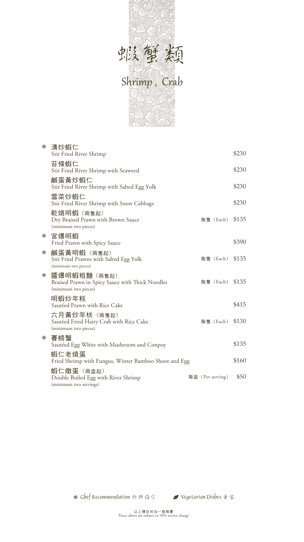

| $\ast$ | 清炒蝦仁<br>Stir Fried River Shrimp                                                           |  |                  | \$230 |
|--------|-------------------------------------------------------------------------------------------|--|------------------|-------|
|        | 苔條蝦仁<br>Stir Fried River Shrimp with Seaweed                                              |  |                  | \$230 |
|        | 鹹蛋黃炒蝦仁<br>Stir Fried River Shrimp with Salted Egg Yolk                                    |  |                  | \$230 |
|        | 雪菜炒蝦仁<br>Stir Fried River Shrimp with Snow Cabbage                                        |  |                  | \$230 |
|        | <b>亁燒明蝦</b> (兩隻起)<br>Dry Braised Prawn with Brown Sauce<br>(minimum two pieces)           |  | 每隻(Each)         | \$135 |
|        | * 宮爆明蝦<br>Fried Prawn with Spicy Sauce                                                    |  |                  | \$390 |
| ∗      | 鹹蛋黃明蝦(兩隻起)<br>Stir Fried Prawns with Salted Egg Yolk<br>(minimum two pieces)              |  | 每隻 (Each)        | \$135 |
|        | * 醤爆明蝦粗麵 (兩隻起)<br>Braised Prawn in Spicy Sauce with Thick Noodles<br>(minimum two pieces) |  | 每隻(Each)         | \$135 |
|        | 明蝦炒年糕<br>Sautéed Prawn with Rice Cake                                                     |  |                  | \$415 |
|        | 六月黃炒年榚(兩隻起)<br>Sautéed Fried Hairy Crab with Rice Cake<br>(minimum two pieces)            |  | 每隻 (Each)        | \$130 |
| $\ast$ | 賽螃蟹<br>Sautéed Egg White with Mushroom and Conpoy                                         |  |                  | \$135 |
|        | 蝦仁老燒蛋<br>Fried Shrimp with Fungus, Winter Bamboo Shoot and Egg                            |  |                  | \$160 |
|        | 蝦仁燉蛋(兩盅起)<br>Double Boiled Egg with River Shrimp<br>(minimum two servings)                |  | 每盅 (Per serving) | \$50  |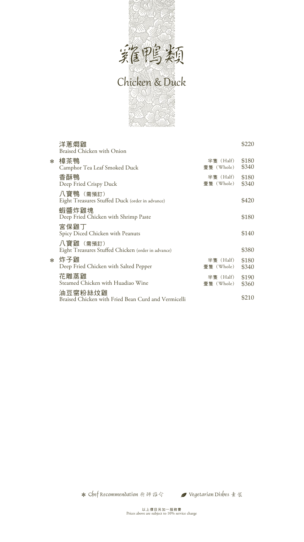

|        | 洋蔥燜雞<br>Braised Chicken with Onion                              |                        | \$220          |
|--------|-----------------------------------------------------------------|------------------------|----------------|
| $\ast$ | 樟茶鴨<br>Camphor Tea Leaf Smoked Duck                             | 半隻(Half)<br>壹隻(Whole)  | \$180<br>\$340 |
|        | 香酥鴨<br>Deep Fried Crispy Duck                                   | 半隻(Half)<br>壹隻 (Whole) | \$180<br>\$340 |
|        | 八寶鴨 (需預訂)<br>Eight Treasures Stuffed Duck (order in advance)    |                        | \$420          |
|        | 蝦醬炸雞塊<br>Deep Fried Chicken with Shrimp Paste                   |                        | \$180          |
|        | 宮保雞丁<br>Spicy Diced Chicken with Peanuts                        |                        | \$140          |
|        | 八寶雞 (需預訂)<br>Eight Treasures Stuffed Chicken (order in advance) |                        | \$380          |
|        | * 炸子雞<br>Deep Fried Chicken with Salted Pepper                  | 半隻(Half)<br>壹隻 (Whole) | \$180<br>\$340 |
|        | 花雕蒸雞<br>Steamed Chicken with Huadiao Wine                       | 半隻(Half)<br>壹隻(Whole)  | \$190<br>\$360 |
|        | 油豆腐粉絲炆雞<br>Braised Chicken with Fried Bean Curd and Vermicelli  |                        | \$210          |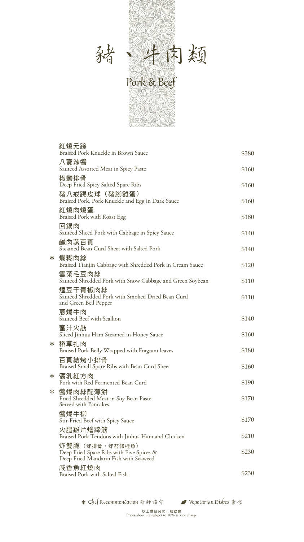

|        | 紅燒元蹄                                                                                                |       |
|--------|-----------------------------------------------------------------------------------------------------|-------|
|        | Braised Pork Knuckle in Brown Sauce                                                                 | \$380 |
|        | 八寶辣醬<br>Sautéed Assorted Meat in Spicy Paste                                                        | \$160 |
|        | 椒鹽排骨<br>Deep Fried Spicy Salted Spare Ribs                                                          | \$160 |
|        | 豬八戒踢皮球(豬腳雞蛋)<br>Braised Pork, Pork Knuckle and Egg in Dark Sauce                                    | \$160 |
|        | 紅燒肉燒蛋<br><b>Braised Pork with Roast Egg</b>                                                         | \$180 |
|        | 回鍋肉<br>Sautéed Sliced Pork with Cabbage in Spicy Sauce                                              | \$140 |
|        | 鹹肉蒸百頁<br>Steamed Bean Curd Sheet with Salted Pork                                                   | \$140 |
| $\ast$ | 爛糊肉絲<br>Braised Tianjin Cabbage with Shredded Pork in Cream Sauce                                   | \$120 |
|        | 雪菜毛豆肉絲<br>Sautéed Shredded Pork with Snow Cabbage and Green Soybean                                 | \$110 |
|        | 煙豆干青椒肉絲<br>Sautéed Shredded Pork with Smoked Dried Bean Curd<br>and Green Bell Pepper               | \$110 |
|        | 蔥爆牛肉<br>Sautéed Beef with Scallion                                                                  | \$140 |
|        | 蜜汁火舫<br>Sliced Jinhua Ham Steamed in Honey Sauce                                                    | \$160 |
| ∗      | 稻草扎肉<br>Braised Pork Belly Wrapped with Fragrant leaves                                             | \$180 |
|        | 百頁結烤小排骨<br>Braised Small Spare Ribs with Bean Curd Sheet                                            | \$160 |
| ∗      | 腐乳紅方肉<br>Pork with Red Fermented Bean Curd                                                          | \$190 |
|        | * 醬爆肉絲配薄餅<br>Fried Shredded Meat in Soy Bean Paste<br>Served with Pancakes                          | \$170 |
|        | 醬爆牛柳<br>Stir-Fried Beef with Spicy Sauce                                                            | \$170 |
|        | 火腿雞片燴蹄筋<br>Braised Pork Tendons with Jinhua Ham and Chicken                                         | \$210 |
|        | 炸雙脆(炸排骨,炸苔條桂魚)<br>Deep Fried Spare Ribs with Five Spices &<br>Deep Fried Mandarin Fish with Seaweed | \$230 |
|        | 咸香魚紅燒肉                                                                                              |       |

Braised Pork with Salted Fish

**\*** Chef Recommendation 廚師推介 → Vegetarian Dishes 素食

\$230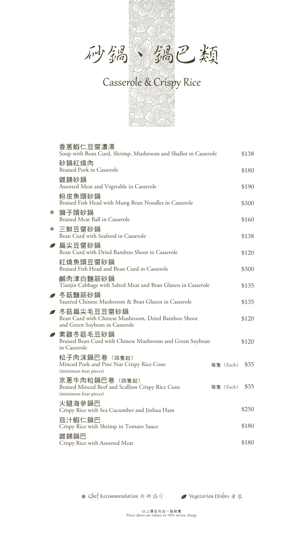砂鍋、鍋巴類

## Casserole & Crispy Rice



|   | 香蔥蝦仁豆腐濃湯<br>Soup with Bean Curd, Shrimp, Mushroom and Shallot in Casserole                                                 |                | \$138 |
|---|----------------------------------------------------------------------------------------------------------------------------|----------------|-------|
|   | 砂鍋紅燒肉                                                                                                                      |                |       |
|   | <b>Braised Pork in Casserole</b>                                                                                           |                | \$180 |
|   | 雜錦砂鍋<br>Assorted Meat and Vegetable in Casserole                                                                           |                | \$190 |
|   | 粉皮魚頭砂鍋<br>Braised Fish Head with Mung Bean Noodles in Casserole                                                            |                | \$300 |
| ∗ | 獅子頭砂鍋<br>Braised Meat Ball in Casserole                                                                                    |                | \$160 |
| ∗ | 三鮮豆腐砂鍋<br>Bean Curd with Seafood in Casserole                                                                              |                | \$138 |
|   | <i>2</i> 扁尖豆腐砂鍋<br>Bean Curd with Dried Bamboo Shoot in Casserole                                                          |                | \$120 |
|   | 紅燒魚頭豆腐砂鍋<br>Braised Fish Head and Bean Curd in Casserole                                                                   |                | \$300 |
|   | 鹹肉津白麵筋砂鍋<br>Tianjin Cabbage with Salted Meat and Bran Gluten in Casserole                                                  |                | \$135 |
|   | <i><i><i>●</i> 冬菇麵筋砂鍋</i></i><br>Sautéed Chinese Mushroom & Bran Gluten in Casserole                                       |                | \$135 |
|   | <i><i><i>●</i> 冬菇扁尖毛豆豆腐砂鍋</i></i><br>Bean Curd with Chinese Mushroom, Dried Bamboo Shoot<br>and Green Soybean in Casserole |                | \$120 |
|   | <i><i>●</i> 素雞冬菇毛豆砂鍋</i><br>Braised Bean Curd with Chinese Mushroom and Green Soybean<br>in Casserole                      |                | \$120 |
|   | 松子肉沫鍋巴卷(四隻起)<br>Minced Pork and Pine Nut Crispy Rice Cone<br>(minimum four pieces)                                         | 每隻 (Each) \$35 |       |
|   | 京蔥牛肉粒鍋巴卷(四隻起)<br>Braised Minced Beef and Scallion Crispy Rice Cone<br>(minimum four pieces)                                | 每隻 (Each)      | \$35  |
|   | 火腿海參鍋巴<br>Crispy Rice with Sea Cucumber and Jinhua Ham                                                                     |                | \$250 |
|   | 茄汁蝦仁鍋巴<br>Crispy Rice with Shrimp in Tomato Sauce                                                                          |                | \$180 |
|   | 雜錦鍋巴<br>Crispy Rice with Assorted Meat                                                                                     |                | \$180 |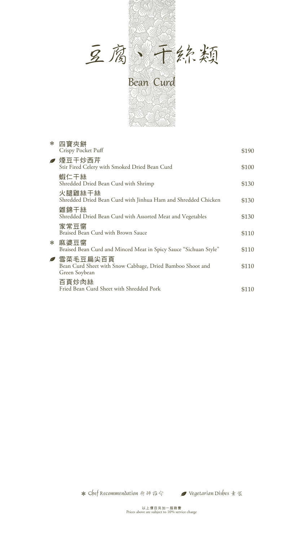

| $\ast$ | 四寶夾餅                                                                                            |       |
|--------|-------------------------------------------------------------------------------------------------|-------|
|        | Crispy Pocket Puff                                                                              | \$190 |
|        | <i>●</i> 煙豆干炒西芹<br>Stir Fired Celery with Smoked Dried Bean Curd                                | \$100 |
|        | 蝦仁干絲<br>Shredded Dried Bean Curd with Shrimp                                                    | \$130 |
|        | 火腿雞絲干絲<br>Shredded Dried Bean Curd with Jinhua Ham and Shredded Chicken                         | \$130 |
|        | 雜錦干絲<br>Shredded Dried Bean Curd with Assorted Meat and Vegetables                              | \$130 |
|        | 家常豆腐<br>Braised Bean Curd with Brown Sauce                                                      | \$110 |
| $\ast$ | 麻婆豆腐<br>Braised Bean Curd and Minced Meat in Spicy Sauce "Sichuan Style"                        | \$110 |
|        | <i>●</i> 雪菜毛豆扁尖百頁<br>Bean Curd Sheet with Snow Cabbage, Dried Bamboo Shoot and<br>Green Soybean | \$110 |
|        | 百頁炒肉絲<br>Fried Bean Curd Sheet with Shredded Pork                                               | \$110 |
|        |                                                                                                 |       |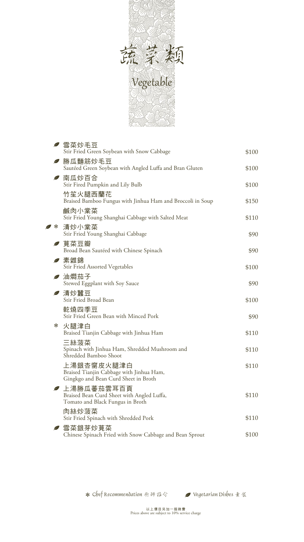

|   | <i>●</i> 雪菜炒毛豆                                                                                               |       |
|---|--------------------------------------------------------------------------------------------------------------|-------|
|   | Stir Fried Green Soybean with Snow Cabbage                                                                   | \$100 |
| Ł | 勝瓜麵筋炒毛豆<br>Sautéed Green Soybean with Angled Luffa and Bran Gluten                                           | \$100 |
|   | <i>●</i> 南瓜炒百合<br>Stir Fired Pumpkin and Lily Bulb                                                           | \$100 |
|   | 竹笙火腿西蘭花<br>Braised Bamboo Fungus with Jinhua Ham and Broccoli in Soup                                        | \$150 |
|   | 鹹肉小棠菜<br>Stir Fried Young Shanghai Cabbage with Salted Meat                                                  | \$110 |
| ∗ | 清炒小棠菜<br>Stir Fried Young Shanghai Cabbage                                                                   | \$90  |
| Ł | 莧菜豆瓣<br>Broad Bean Sautéed with Chinese Spinach                                                              | \$90  |
|   | <i>◢</i> 素雜錦<br><b>Stir Fried Assorted Vegetables</b>                                                        | \$100 |
|   | <i>❷</i> 油燜茄子<br>Stewed Eggplant with Soy Sauce                                                              | \$90  |
|   | <i>●</i> 清炒蠶豆<br>Stir Fried Broad Bean                                                                       | \$100 |
|   | 乾燒四季豆<br>Stir Fried Green Bean with Minced Pork                                                              | \$90  |
| ∗ | 火腿津白<br>Braised Tianjin Cabbage with Jinhua Ham                                                              | \$110 |
|   | 三絲菠菜<br>Spinach with Jinhua Ham, Shredded Mushroom and<br>Shredded Bamboo Shoot                              | \$110 |
|   | 上湯銀杏腐皮火腿津白<br>Braised Tianjin Cabbage with Jinhua Ham,<br>Gingkgo and Bean Curd Sheet in Broth               | \$110 |
|   | <i><i>●</i> 上湯勝瓜蕃茄雲耳百頁</i><br>Braised Bean Curd Sheet with Angled Luffa,<br>Tomato and Black Fungus in Broth | \$110 |
|   | 肉絲炒菠菜<br>Stir Fried Spinach with Shredded Pork                                                               | \$110 |
| Ł | 雪菜銀芽炒莧菜<br>Chinese Spinach Fried with Snow Cabbage and Bean Sprout                                           | \$100 |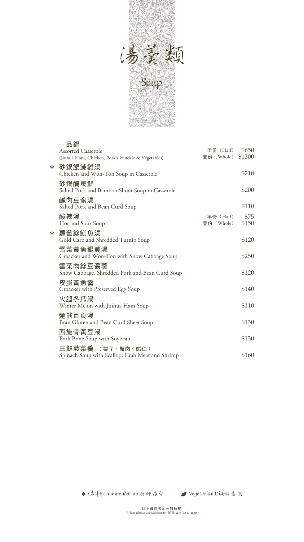

|        | 一品鍋<br><b>Assorted Casserole</b>                                    | 半份 (Half)               | \$650         |
|--------|---------------------------------------------------------------------|-------------------------|---------------|
|        | (Jinhua Ham, Chicken, Pork's knuckle & Vegetables)                  | 壹份(Whole)               | \$1300        |
|        | * 砂鍋餛飩雞湯<br>Chicken and Won-Ton Soup in Casserole                   |                         | \$210         |
|        | 砂鍋醃篤鮮<br>Salted Pork and Bamboo Shoot Soup in Casserole             |                         | \$200         |
|        | 鹹肉豆腐湯<br>Salted Pork and Bean Curd Soup                             |                         | \$110         |
|        | 酸辣湯<br>Hot and Sour Soup                                            | 半份 (Half)<br>壹份 (Whole) | \$75<br>\$150 |
| $\ast$ | 蘿蔔絲鯽魚湯<br>Gold Carp and Shredded Turnip Soup                        |                         | \$120         |
|        | 雪菜黃魚餛飩湯<br>Croacker and Won-Ton with Snow Cabbage Soup              |                         | \$250         |
|        | 雪菜肉絲豆腐羹<br>Snow Cabbage, Shredded Pork and Bean Curd Soup           |                         | \$120         |
|        | 皮蛋黃魚羹<br>Croacker with Preserved Egg Soup                           |                         | \$140         |
|        | 火腿冬瓜湯<br>Winter Melon with Jinhua Ham Soup                          |                         | \$110         |
|        | 麵筋百頁湯<br>Bran Gluten and Bean Curd Sheet Soup                       |                         | \$130         |
|        | 西施骨黃豆湯<br>Pork Bone Soup with Soybean                               |                         | \$130         |
|        | 三鮮菠菜羹 (帶子、蟹肉、蝦仁)<br>Spinach Soup with Scallop, Crab Meat and Shrimp |                         | \$160         |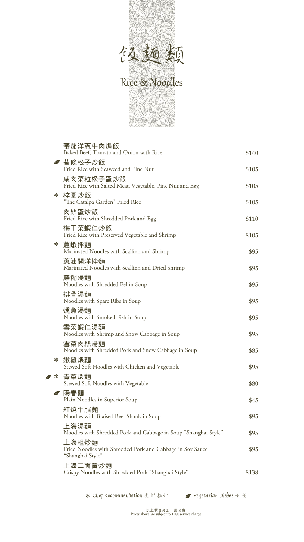

|           | 蕃茄洋蔥牛肉焗飯<br>Baked Beef, Tomato and Onion with Rice                                     | \$140 |
|-----------|----------------------------------------------------------------------------------------|-------|
|           | <i>●</i> 苔條松子炒飯<br>Fried Rice with Seaweed and Pine Nut                                | \$105 |
|           | 咸肉菜粒松子蛋炒飯<br>Fried Rice with Salted Meat, Vegetable, Pine Nut and Egg                  | \$105 |
| $\ast$    | 梓園炒飯<br>"The Catalpa Garden" Fried Rice                                                | \$105 |
|           | 肉絲蛋炒飯<br>Fried Rice with Shredded Pork and Egg                                         | \$110 |
|           | 梅干菜蝦仁炒飯<br>Fried Rice with Preserved Vegetable and Shrimp                              | \$105 |
| ∗         | 蔥蝦拌麵<br>Marinated Noodles with Scallion and Shrimp                                     | \$95  |
|           | 蔥油開洋拌麵<br>Marinated Noodles with Scallion and Dried Shrimp                             | \$95  |
|           | 鱔糊湯麵<br>Noodles with Shredded Eel in Soup                                              | \$95  |
|           | 排骨湯麵<br>Noodles with Spare Ribs in Soup                                                | \$95  |
|           | 燻魚湯麵<br>Noodles with Smoked Fish in Soup                                               | \$95  |
|           | 雪菜蝦仁湯麵<br>Noodles with Shrimp and Snow Cabbage in Soup                                 | \$95  |
|           | 雪菜肉絲湯麵<br>Noodles with Shredded Pork and Snow Cabbage in Soup                          | \$85  |
| $\ast$    | 嫩雞煨麵<br>Stewed Soft Noodles with Chicken and Vegetable                                 | \$95  |
| ∗         | 青菜煨麵<br>Stewed Soft Noodles with Vegetable                                             | \$80  |
| <b>RE</b> | 陽春麵<br>Plain Noodles in Superior Soup                                                  | \$45  |
|           | 紅燒牛脹麵<br>Noodles with Braised Beef Shank in Soup                                       | \$95  |
|           | 上海湯麵<br>Noodles with Shredded Pork and Cabbage in Soup "Shanghai Style"                | \$95  |
|           | 上海粗炒麵<br>Fried Noodles with Shredded Pork and Cabbage in Soy Sauce<br>"Shanghai Style" | \$95  |
|           | 上海二面黃炒麵<br>Crispy Noodles with Shredded Pork "Shanghai Style"                          | \$138 |

Ł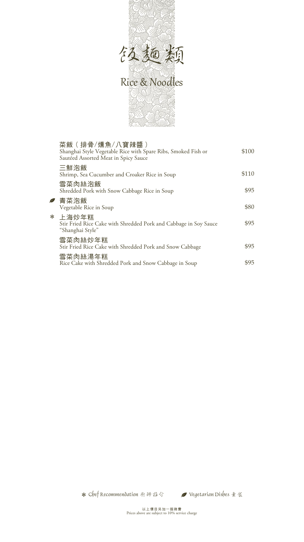

## 菜飯(排骨/燻魚/八寶辣醬) 三鮮泡飯 雪菜肉絲泡飯 *●* 青菜泡飯 \* 上海炒年糕 雪菜肉絲炒年糕 雪菜肉絲湯年糕 Shanghai Style Vegetable Rice with Spare Ribs, Smoked Fish or Sautéed Assorted Meat in Spicy Sauce Shrimp, Sea Cucumber and Croaker Rice in Soup Shredded Pork with Snow Cabbage Rice in Soup Vegetable Rice in Soup Stir Fried Rice Cake with Shredded Pork and Cabbage in Soy Sauce "Shanghai Style" Stir Fried Rice Cake with Shredded Pork and Snow Cabbage Rice Cake with Shredded Pork and Snow Cabbage in Soup \$100 \$110 \$95 \$80 \$95 \$95 \$95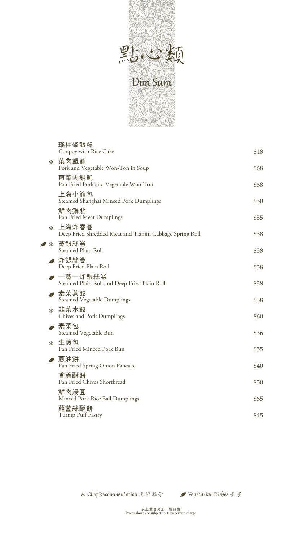

|        | 瑤柱粢飯糕<br>Conpoy with Rice Cake                                    | \$48 |
|--------|-------------------------------------------------------------------|------|
|        | * 菜肉餛飩<br>Pork and Vegetable Won-Ton in Soup                      | \$68 |
|        | 煎菜肉餛飩<br>Pan Fried Pork and Vegetable Won-Ton                     | \$68 |
|        | 上海小籠包<br>Steamed Shanghai Minced Pork Dumplings                   | \$50 |
|        | 鮮肉鍋貼<br>Pan Fried Meat Dumplings                                  | \$55 |
| $\ast$ | 上海炸春卷<br>Deep Fried Shredded Meat and Tianjin Cabbage Spring Roll | \$38 |
| $\ast$ | 蒸銀絲卷<br><b>Steamed Plain Roll</b>                                 | \$38 |
| Ł      | 炸銀絲卷<br>Deep Fried Plain Roll                                     | \$38 |
| B      | 一蒸一炸銀絲卷<br>Steamed Plain Roll and Deep Fried Plain Roll           | \$38 |
| ÞÊ     | 素菜蒸餃<br><b>Steamed Vegetable Dumplings</b>                        | \$38 |
| $\ast$ | 韭菜水餃<br><b>Chives and Pork Dumplings</b>                          | \$60 |
| Ł      | 素菜包<br>Steamed Vegetable Bun                                      | \$36 |
| $\ast$ | 生煎包<br>Pan Fried Minced Pork Bun                                  | \$55 |
| P      | 蔥油餅<br>Pan Fried Spring Onion Pancake                             | \$40 |
|        | 香蔥酥餅<br>Pan Fried Chives Shortbread                               | \$50 |
|        | 鮮肉湯圓<br>Minced Pork Rice Ball Dumplings                           | \$65 |
|        | 蘿蔔絲酥餅<br>Turnip Puff Pastry                                       | \$45 |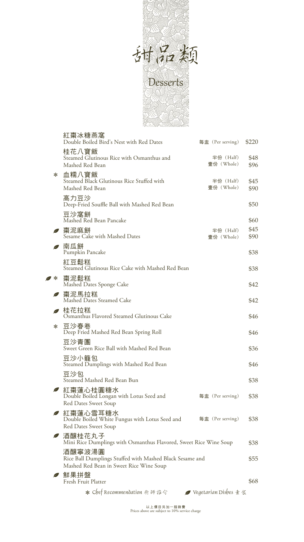

|            | 紅棗冰糖燕窩<br>Double Boiled Bird's Nest with Red Dates                                                            | 每盅 (Per serving)                     | \$220        |
|------------|---------------------------------------------------------------------------------------------------------------|--------------------------------------|--------------|
|            | 桂花八寶飯<br>Steamed Glutinous Rice with Osmanthus and<br>Mashed Red Bean                                         | 半份 (Half)<br>壹份 (Whole)              | \$48<br>\$96 |
| ∗          | 血糯八寶飯<br>Steamed Black Glutinous Rice Stuffed with<br>Mashed Red Bean                                         | 半份 (Half)<br>壹份 (Whole)              | \$45<br>\$90 |
|            | 高力豆沙<br>Deep-Fried Souffle Ball with Mashed Red Bean                                                          |                                      | \$50         |
|            | 豆沙窩餅<br>Mashed Red Bean Pancake                                                                               |                                      | \$60         |
|            | <i>丝</i> 棗泥麻餅<br>Sesame Cake with Mashed Dates                                                                | 半份 (Half)<br>壹份 (Whole)              | \$45<br>\$90 |
| P          | 南瓜餅<br>Pumpkin Pancake                                                                                        |                                      | \$38         |
|            | 紅豆鬆糕<br>Steamed Glutinous Rice Cake with Mashed Red Bean                                                      |                                      | \$38         |
| $\ast$     | 棗泥鬆糕<br>Mashed Dates Sponge Cake                                                                              |                                      | \$42         |
| <b>RES</b> | 棗泥馬拉糕<br>Mashed Dates Steamed Cake                                                                            |                                      | \$42         |
| P          | 桂花拉糕<br>Osmanthus Flavored Steamed Glutinous Cake                                                             |                                      | \$46         |
| $\ast$     | 豆沙春卷<br>Deep Fried Mashed Red Bean Spring Roll                                                                |                                      | \$46         |
|            | 豆沙青團<br>Sweet Green Rice Ball with Mashed Red Bean                                                            |                                      | \$36         |
|            | 豆沙小籠包<br>Steamed Dumplings with Mashed Red Bean                                                               |                                      | \$46         |
|            | 豆沙包<br>Steamed Mashed Red Bean Bun                                                                            |                                      | \$38         |
| <b>RE</b>  | 紅棗蓮心桂圓糖水<br>Double Boiled Longan with Lotus Seed and                                                          | 每盅 (Per serving)                     | \$38         |
|            | <b>Red Dates Sweet Soup</b>                                                                                   |                                      |              |
| <b>SER</b> | 紅棗蓮心雪耳糖水<br>Double Boiled White Fungus with Lotus Seed and                                                    | 每盅 (Per serving)                     | \$38         |
|            | <b>Red Dates Sweet Soup</b>                                                                                   |                                      |              |
| <b>RE</b>  | 酒釀桂花丸子<br>Mini Rice Dumplings with Osmanthus Flavored, Sweet Rice Wine Soup                                   |                                      | \$38         |
|            | 酒釀寧波湯圓<br>Rice Ball Dumplings Stuffed with Mashed Black Sesame and<br>Mashed Red Bean in Sweet Rice Wine Soup |                                      | \$55         |
| PS.        | 鮮果拼盤<br>Fresh Fruit Platter                                                                                   |                                      | \$68         |
|            | * Chef Recommendation 廚師推介                                                                                    | <mark>⁄</mark> Vegetarian Dishes 素 食 |              |